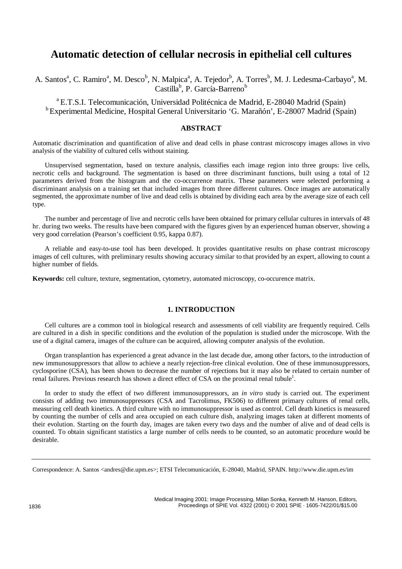# **Automatic detection of cellular necrosis in epithelial cell cultures**

A. Santos<sup>a</sup>, C. Ramiro<sup>a</sup>, M. Desco<sup>b</sup>, N. Malpica<sup>a</sup>, A. Tejedor<sup>b</sup>, A. Torres<sup>b</sup>, M. J. Ledesma-Carbayo<sup>a</sup>, M. Castilla<sup>b</sup>, P. García-Barreno<sup>b</sup>

<sup>a</sup> E.T.S.I. Telecomunicación, Universidad Politécnica de Madrid, E-28040 Madrid (Spain) <sup>b</sup> Experimental Medicine, Hospital General Universitario 'G. Marañón', E-28007 Madrid (Spain)

# **ABSTRACT**

Automatic discrimination and quantification of alive and dead cells in phase contrast microscopy images allows in vivo analysis of the viability of cultured cells without staining.

Unsupervised segmentation, based on texture analysis, classifies each image region into three groups: live cells, necrotic cells and background. The segmentation is based on three discriminant functions, built using a total of 12 parameters derived from the histogram and the co-occurrence matrix. These parameters were selected performing a discriminant analysis on a training set that included images from three different cultures. Once images are automatically segmented, the approximate number of live and dead cells is obtained by dividing each area by the average size of each cell type.

The number and percentage of live and necrotic cells have been obtained for primary cellular cultures in intervals of 48 hr. during two weeks. The results have been compared with the figures given by an experienced human observer, showing a very good correlation (Pearson's coefficient 0.95, kappa 0.87).

A reliable and easy-to-use tool has been developed. It provides quantitative results on phase contrast microscopy images of cell cultures, with preliminary results showing accuracy similar to that provided by an expert, allowing to count a higher number of fields.

**Keywords:** cell culture, texture, segmentation, cytometry, automated microscopy, co-occurence matrix.

# **1. INTRODUCTION**

Cell cultures are a common tool in biological research and assessments of cell viability are frequently required. Cells are cultured in a dish in specific conditions and the evolution of the population is studied under the microscope. With the use of a digital camera, images of the culture can be acquired, allowing computer analysis of the evolution.

Organ transplantion has experienced a great advance in the last decade due, among other factors, to the introduction of new immunosuppressors that allow to achieve a nearly rejection-free clinical evolution. One of these immunosuppressors, cyclosporine (CSA), has been shown to decrease the number of rejections but it may also be related to certain number of renal failures. Previous research has shown a direct effect of CSA on the proximal renal tubule<sup>1</sup>.

In order to study the effect of two different immunosuppressors, an *in vitro* study is carried out. The experiment consists of adding two immunosuppressors (CSA and Tacrolimus, FK506) to different primary cultures of renal cells, measuring cell death kinetics. A third culture with no immunosuppressor is used as control. Cell death kinetics is measured by counting the number of cells and area occupied on each culture dish, analyzing images taken at different moments of their evolution. Starting on the fourth day, images are taken every two days and the number of alive and of dead cells is counted. To obtain significant statistics a large number of cells needs to be counted, so an automatic procedure would be desirable.

Correspondence: A. Santos <andres@die.upm.es>; ETSI Telecomunicación, E-28040, Madrid, SPAIN. http://www.die.upm.es/im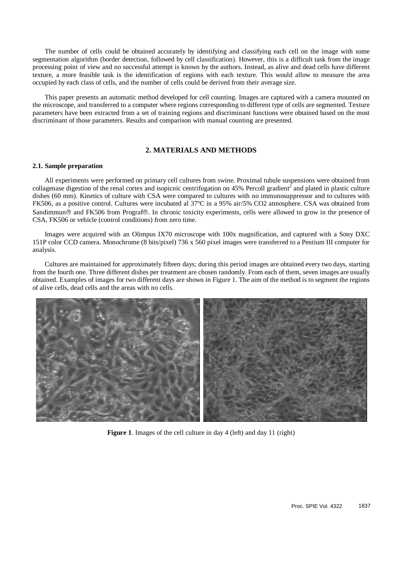The number of cells could be obtained accurately by identifying and classifying each cell on the image with some segmentation algorithm (border detection, followed by cell classification). However, this is a difficult task from the image processing point of view and no successful attempt is known by the authors. Instead, as alive and dead cells have different texture, a more feasible task is the identification of regions with each texture. This would allow to measure the area occupied by each class of cells, and the number of cells could be derived from their average size.

This paper presents an automatic method developed for cell counting. Images are captured with a camera mounted on the microscope, and transferred to a computer where regions corresponding to different type of cells are segmented. Texture parameters have been extracted from a set of training regions and discriminant functions were obtained based on the most discriminant of those parameters. Results and comparison with manual counting are presented.

# **2. MATERIALS AND METHODS**

#### **2.1. Sample preparation**

All experiments were performed on primary cell cultures from swine. Proximal tubule suspensions were obtained from collagenase digestion of the renal cortex and isopicnic centrifugation on 45% Percoll gradient<sup>2</sup> and plated in plastic culture dishes (60 mm). Kinetics of culture with CSA were compared to cultures with no immunosuppressor and to cultures with FK506, as a positive control. Cultures were incubated al 37ºC in a 95% air/5% CO2 atmosphere. CSA was obtained from Sandimmun® and FK506 from Prograf®. In chronic toxicity experiments, cells were allowed to grow in the presence of CSA, FK506 or vehicle (control conditions) from zero time.

Images were acquired with an Olimpus IX70 microscope with 100x magnification, and captured with a Sony DXC 151P color CCD camera. Monochrome (8 bits/pixel) 736 x 560 pixel images were transferred to a Pentium III computer for analysis.

Cultures are maintained for approximately fifteen days; during this period images are obtained every two days, starting from the fourth one. Three different dishes per treatment are chosen randomly. From each of them, seven images are usually obtained. Examples of images for two different days are shown in Figure 1. The aim of the method is to segment the regions of alive cells, dead cells and the areas with no cells.



Figure 1. Images of the cell culture in day 4 (left) and day 11 (right)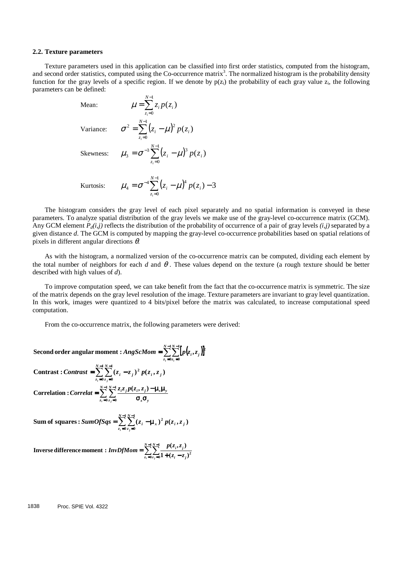#### **2.2. Texture parameters**

Texture parameters used in this application can be classified into first order statistics, computed from the histogram, and second order statistics, computed using the Co-occurrence matrix<sup>3</sup>. The normalized histogram is the probability density function for the gray levels of a specific region. If we denote by  $p(z_i)$  the probability of each gray value  $z_i$ , the following parameters can be defined:

Variance:

Mean: 
$$
\mu = \sum_{z_i=0} z_i p(z_i)
$$
  
Variance: 
$$
\sigma^2 = \sum_{z_i=0}^{N-1} (z_i - \mu)^2 p(z_i)
$$
  
Skewness: 
$$
\mu_3 = \sigma^{-3} \sum_{z_i=0}^{N-1} (z_i - \mu)^3 p(z_i)
$$

 $z_i = 0$ 

−

*N*

1

Kurtosis: 
$$
\mu_4 = \sigma^{-4} \sum_{z_i=0}^{N-1} (z_i - \mu)^4 p(z_i) - 3
$$

The histogram considers the gray level of each pixel separately and no spatial information is conveyed in these parameters. To analyze spatial distribution of the gray levels we make use of the gray-level co-occurrence matrix (GCM). Any GCM element  $P_d(i,j)$  reflects the distribution of the probability of occurrence of a pair of gray levels  $(i,j)$  separated by a given distance *d*. The GCM is computed by mapping the gray-level co-occurrence probabilities based on spatial relations of pixels in different angular directions  $\theta$ .

As with the histogram, a normalized version of the co-occurrence matrix can be computed, dividing each element by the total number of neighbors for each  $d$  and  $\theta$ . These values depend on the texture (a rough texture should be better described with high values of *d*).

To improve computation speed, we can take benefit from the fact that the co-occurrence matrix is symmetric. The size of the matrix depends on the gray level resolution of the image. Texture parameters are invariant to gray level quantization. In this work, images were quantized to 4 bits/pixel before the matrix was calculated, to increase computational speed computation.

From the co-occurrence matrix, the following parameters were derived:

Second order angular moment : 
$$
AngScMom = \sum_{z_i=0}^{N-1} \sum_{z_i=0}^{N-1} [p(z_i, z_j)]^2
$$
  
\nContrast :  $Contrast = \sum_{z_i=0}^{N-1} \sum_{z_j=0}^{N-1} (z_i - z_j)^2 p(z_i, z_j)$   
\nCorrelation :  $Correlat = \sum_{z_i=0}^{N-1} \sum_{z_j=0}^{N-1} \sum_{z_j=0}^{z_j} (z_i - \mu_x)^2 p(z_i, z_j)$   
\nSum of squares :  $SumOfSqs = \sum_{z_i=0}^{N-1} \sum_{z_j=0}^{N-1} (z_i - \mu_x)^2 p(z_i, z_j)$ 

 $\sum_{z_i=0}$   $\sum_{z_j=0}$ 

*i j*

 $0z_i = 0$ 

 $\sum_{z_i=0}$  $\sum_{z_j=0}$ − =  $=\sum_{z_i=0}^{N-1}\sum_{z_i=0}^{N-1}\frac{p(z_i,z_i)}{1+(z_i-z_i)}$ **0 1 Inverse difference moment :**  $InvDfMom = \sum_{z_i=0}^{N-1} \sum_{z_j=0}^{N-1} \frac{p(z_i, z_j)}{1 + (z_i - z_j)^2}$ *z N*  $z_i = 0$ **1 +**  $(Z_i - Z_j)$ *i j*  $\sum_{i=0}^{7} \sum_{z_i=0}^{7} 1 + (z_i - z_i)$ *<u><i><i>InvDfMom*</u> =  $\sum_{i=1}^{N-1} \sum_{i=1}^{N-1} \frac{p(z_i, z_j)}{p(z_i, z_j)}$ </u>

1838 Proc. SPIE Vol. 4322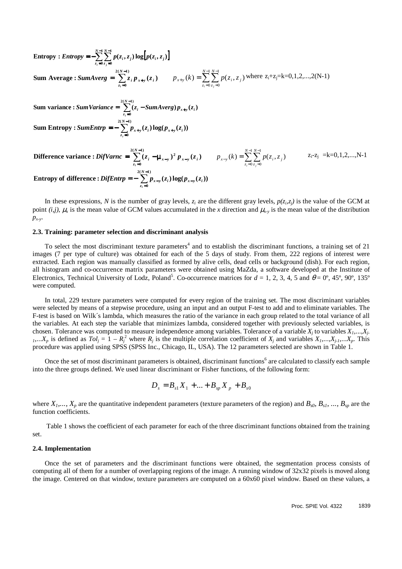$\sum_{z_i=0}^{N-1}\sum_{z_j=0}^{N-1}p(z_i,z_j)\log[p(z_i,z_j)]$ − =  $=-\sum_{1}^{N-1}$ **0 1 0 Entropy :** *Entropy* =  $-\sum_{i=1}^{N-1}\sum_{j=1}^{N-1}p(z_i, z_j)\log[p(z_i, z_j)]$ *z N*  $\sum_{i=0}$   $\sum_{z_j=0}$   $P(x_i, x_j)$   $log[p(x_i, x_j)]$  $Entropy = -\sum_{i}^{N-1}\sum_{i}^{N-1} p(z_i, z_i) \log[p(z_i, z_i)]$  $\sum_{z_i=0}$ −  $=\sum_{z_i=0}^{2(N-1)} z_i p_{x+1}$ **0 Sum** Average :  $SumAverg = \sum_{i=1}^{2(N-1)} z_i p_{x+v}(z_i)$  $\sum_{z_i=0}$   $\sim$  *i*  $P$   $x+y$   $\sim$  *i SumAverg*  $=$   $\sum_{z_i=0}^{2(N-1)} z_i p_{x+y}(z_i)$   $p_{x+y}(k) = \sum_{z_i=0}^{N-1} \sum_{z_j=0}^{N-1}$ = −  $_{x+y}(k) = \sum_{z_i=0}^{N-1} \sum_{z_i=0}^{N-1}$ 0 1 0  $(k) = \sum_{i}^{N-1} \sum_{i}^{N-1} p(z_i, z_i)$ *z N*  $\chi_{x+y}(\kappa) = \sum_{z_i=0} \sum_{z_i=0} P(\kappa_i, \kappa_j)$ *i j*  $p_{x+y}(k) = \sum_{i=1}^{n-1} \sum_{i=1}^{n} p(z_i, z_i)$  where  $z_i + z_j = k = 0, 1, 2, ..., 2(N-1)$ 

 $\sum_{z_i=0}$ −  $=\sum_{z_i=0}^{2(N-1)} (z_i - SumAverg)p_{x+1}$ **0** Sum variance : *Sum Variance* =  $\sum_{i=1}^{2(N-1)} (z_i - SumAverg)p_{x+y}(z_i)$  $\sum_{z_i=0}$   $(x_i - \sum_{i=0}^{n} p_{x+y_i})$  $SumVariance = \sum_{i=1}^{2(N-1)} (z_i - SumAverg) p_{x+y}(z_i)$ **Sum Entropy : SumEntrp** =  $-\sum_{i=1}^{2(N-1)} p_{x+y}(z_i) \log(p_{x+y}(z_i))$  $P_{x+y}(\lambda_i)$  **i**  $\cup$  **6** $(P_{x+y}(\lambda_i))$ *N*  $SumEntropy = -\sum_{z_i=0}^{n} p_{x+y}(z_i) \log(p_{x+y}(z_i))$ *i* −  $=-\sum_{z_i=0}^{2(N-1)} p_{x+y}(z_i) \log(p_{x+y}(z_i))$ 

 $\sum_{z_i=0}$ −  $= \sum_{z_i=0}^{2(N-1)} (z_i - \mu_{x-y})^2 p_{x-y}$ **0 Difference variance :**  $\hat{D}$ *if*  $\hat{V}$ *arnc* =  $\sum_{i=1}^{2(N-1)} (z_i - \mu_{x-y})^2 p_{x-y}(z_i)$  $\sum_{z_i=0}$   $(x_i - \mu_{x-y})$   $P_{x-y}$   $(x_i -$ *DifVarnc* =  $\sum_{z_i=0}^{2(N-1)} (z_i - \mu_{x-y})^2 p_{x-y}(z_i)$   $p_{x-y}(k) = \sum_{z_i=0}^{N-1} \sum_{z_j=0}^{N-1}$ = −  $_{-y}(k) = \sum_{z_i=0}^{N-1} \sum_{z_j=0}^{N-1}$ 0 1 0  $(k) = \sum_{i=1}^{N-1} \sum_{i=1}^{N-1} p(z_i, z_i)$ *z N*  $\sum_{z_i=0}^{x-y} \sum_{z_i=0}^{y} P(x_i; x_j)$ *i j*  $p_{x-y}(k) = \sum_{i=1}^{N-1} \sum_{i=1}^{N-1} p(z_i, z_i)$   $|z_i-z_j| = k = 0,1,2,...,N-1$ **Entropy** of difference **:**  $\text{Dif} \text{Entropy} = -\sum_{n=1}^{2(N-1)} p_{x-x}(z_i) \log(p_{x-x}(z_i))$  $P_{x-y}(\lambda_i)$  **i**  $\cup$  **g** $(P_{x-y}(\lambda_i))$ *N*  $\frac{1}{2}$  *DifEntrp* =  $-\sum_{z_i=0}^{n} p_{x-y}(z_i) \log(p_{x-y}(z_i))$ *i* − −  $=-\sum_{z_i=0}^{2(N-1)} p_{x-y}(z_i) \log(p_{x-y}(z_i))$ 

In these expressions, N is the number of gray levels,  $z_i$  are the different gray levels,  $p(z_i, z_j)$  is the value of the GCM at point *(i,j)*,  $\mu_x$  is the mean value of GCM values accumulated in the *x* direction and  $\mu_{x-y}$  is the mean value of the distribution *px-y*.

#### **2.3. Training: parameter selection and discriminant analysis**

To select the most discriminant texture parameters<sup>4</sup> and to establish the discriminant functions, a training set of 21 images (7 per type of culture) was obtained for each of the 5 days of study. From them, 222 regions of interest were extracted. Each region was manually classified as formed by alive cells, dead cells or background (dish). For each region, all histogram and co-occurrence matrix parameters were obtained using MaZda, a software developed at the Institute of Electronics, Technical University of Lodz, Poland<sup>5</sup>. Co-occurrence matrices for  $d = 1, 2, 3, 4, 5$  and  $\theta = 0^{\circ}, 45^{\circ}, 90^{\circ}, 135^{\circ}$ were computed.

In total, 229 texture parameters were computed for every region of the training set. The most discriminant variables were selected by means of a stepwise procedure, using an input and an output F-test to add and to eliminate variables. The F-test is based on Wilk´s lambda, which measures the ratio of the variance in each group related to the total variance of all the variables. At each step the variable that minimizes lambda, considered together with previously selected variables, is chosen. Tolerance was computed to measure independence among variables. Tolerance of a variable  $X_i$  to variables  $X_1, \ldots, X_i$  $I_1,...X_p$  is defined as  $Tol_j = 1 - R_j^2$  where  $R_j$  is the multiple correlation coefficient of  $X_j$  and variables  $X_1,...,X_{j-1},...,X_p$ . This procedure was applied using SPSS (SPSS Inc., Chicago, IL, USA). The 12 parameters selected are shown in Table 1.

Once the set of most discriminant parameters is obtained, discriminant functions<sup>6</sup> are calculated to classify each sample into the three groups defined. We used linear discriminant or Fisher functions, of the following form:

$$
D_s = B_{s1}X_1 + \dots + B_{sp}X_p + B_{s0}
$$

where  $X_1, \ldots, X_p$  are the quantitative independent parameters (texture parameters of the region) and  $B_{s0}$ ,  $B_{s1}$ , ...,  $B_{sp}$  are the function coefficients.

Table 1 shows the coefficient of each parameter for each of the three discriminant functions obtained from the training set.

#### **2.4. Implementation**

Once the set of parameters and the discriminant functions were obtained, the segmentation process consists of computing all of them for a number of overlapping regions of the image. A running window of 32x32 pixels is moved along the image. Centered on that window, texture parameters are computed on a 60x60 pixel window. Based on these values, a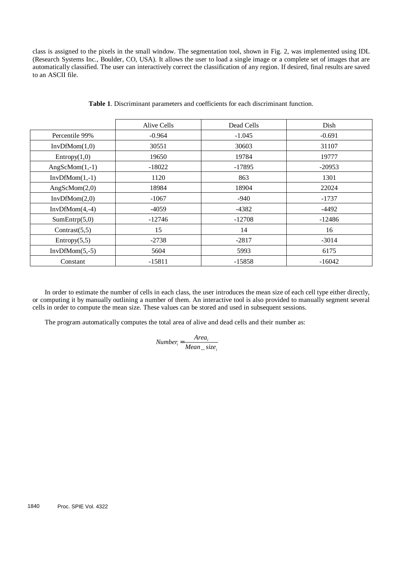class is assigned to the pixels in the small window. The segmentation tool, shown in Fig. 2, was implemented using IDL (Research Systems Inc., Boulder, CO, USA). It allows the user to load a single image or a complete set of images that are automatically classified. The user can interactively correct the classification of any region. If desired, final results are saved to an ASCII file.

|                  | Alive Cells | Dead Cells | Dish     |  |  |
|------------------|-------------|------------|----------|--|--|
| Percentile 99%   | $-0.964$    | $-1.045$   | $-0.691$ |  |  |
| InvDfMom(1,0)    | 30551       | 30603      | 31107    |  |  |
| Entropy(1,0)     | 19650       | 19784      | 19777    |  |  |
| $AngScMom(1,-1)$ | $-18022$    | $-17895$   | $-20953$ |  |  |
| $InvDfMom(1,-1)$ | 1120        | 863        | 1301     |  |  |
| AngScMom(2,0)    | 18984       | 18904      | 22024    |  |  |
| InvDfMom(2,0)    | $-1067$     | $-940$     | $-1737$  |  |  |
| $InvDfMom(4,-4)$ | $-4059$     | $-4382$    | $-4492$  |  |  |
| SumEntropy(5,0)  | $-12746$    | $-12708$   | $-12486$ |  |  |
| Contrast $(5,5)$ | 15          | 14         | 16       |  |  |
| Entropy(5, 5)    | $-2738$     | $-2817$    | $-3014$  |  |  |
| $InvDfMom(5,-5)$ | 5604        | 5993       | 6175     |  |  |
| Constant         | $-15811$    | $-15858$   | $-16042$ |  |  |

**Table 1**. Discriminant parameters and coefficients for each discriminant function.

In order to estimate the number of cells in each class, the user introduces the mean size of each cell type either directly, or computing it by manually outlining a number of them. An interactive tool is also provided to manually segment several cells in order to compute the mean size. These values can be stored and used in subsequent sessions.

The program automatically computes the total area of alive and dead cells and their number as:

$$
Number_i = \frac{Area_i}{Mean\_size_i}
$$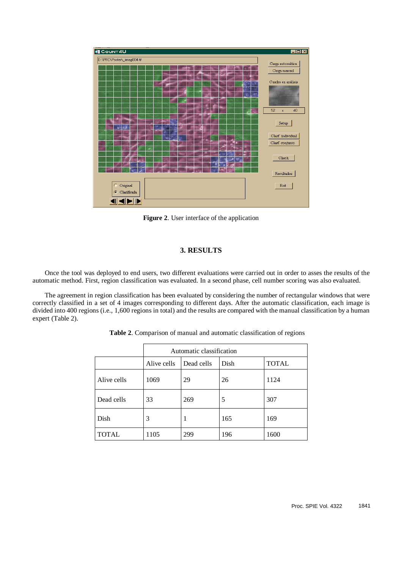

**Figure 2**. User interface of the application

# **3. RESULTS**

Once the tool was deployed to end users, two different evaluations were carried out in order to asses the results of the automatic method. First, region classification was evaluated. In a second phase, cell number scoring was also evaluated.

The agreement in region classification has been evaluated by considering the number of rectangular windows that were correctly classified in a set of 4 images corresponding to different days. After the automatic classification, each image is divided into 400 regions (i.e., 1,600 regions in total) and the results are compared with the manual classification by a human expert (Table 2).

|              | Automatic classification |            |      |              |  |  |
|--------------|--------------------------|------------|------|--------------|--|--|
|              | Alive cells              | Dead cells | Dish | <b>TOTAL</b> |  |  |
| Alive cells  | 1069                     | 29         | 26   | 1124         |  |  |
| Dead cells   | 33                       | 269        | 5    | 307          |  |  |
| Dish         | 3                        |            | 165  | 169          |  |  |
| <b>TOTAL</b> | 1105                     | 299        | 196  | 1600         |  |  |

**Table 2**. Comparison of manual and automatic classification of regions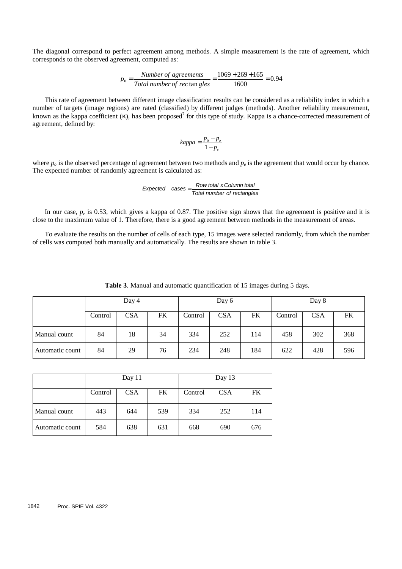The diagonal correspond to perfect agreement among methods. A simple measurement is the rate of agreement, which corresponds to the observed agreement, computed as:

$$
p_0 = \frac{Number\ of\ agreements}{Total\ number\ of\ rec\ tan\ gles} = \frac{1069 + 269 + 165}{1600} = 0.94
$$

This rate of agreement between different image classification results can be considered as a reliability index in which a number of targets (image regions) are rated (classified) by different judges (methods). Another reliability measurement, known as the kappa coefficient  $(\kappa)$ , has been proposed<sup>7</sup> for this type of study. Kappa is a chance-corrected measurement of agreement, defined by:

$$
kappa = \frac{p_0 - p_e}{1 - p_e}
$$

where  $p<sub>o</sub>$  is the observed percentage of agreement between two methods and  $p<sub>e</sub>$  is the agreement that would occur by chance. The expected number of randomly agreement is calculated as:

 $Expected\_cases = \frac{Row \, total \, x \, Column \, total}{Total \, number \, of \, rectangles}$ 

In our case,  $p_e$  is 0.53, which gives a kappa of 0.87. The positive sign shows that the agreement is positive and it is close to the maximum value of 1. Therefore, there is a good agreement between methods in the measurement of areas.

To evaluate the results on the number of cells of each type, 15 images were selected randomly, from which the number of cells was computed both manually and automatically. The results are shown in table 3.

|                 | Day 4   |            |    | Day 6   |            |     | Day 8   |            |     |
|-----------------|---------|------------|----|---------|------------|-----|---------|------------|-----|
|                 | Control | <b>CSA</b> | FK | Control | <b>CSA</b> | FK  | Control | <b>CSA</b> | FK  |
| Manual count    | 84      | 18         | 34 | 334     | 252        | 114 | 458     | 302        | 368 |
| Automatic count | 84      | 29         | 76 | 234     | 248        | 184 | 622     | 428        | 596 |

**Table 3**. Manual and automatic quantification of 15 images during 5 days.

|                 | Day 11  |            |     | Day 13  |            |     |
|-----------------|---------|------------|-----|---------|------------|-----|
|                 | Control | <b>CSA</b> | FK. | Control | <b>CSA</b> | FK  |
| Manual count    | 443     | 644        | 539 | 334     | 252        | 114 |
| Automatic count | 584     | 638        | 631 | 668     | 690        | 676 |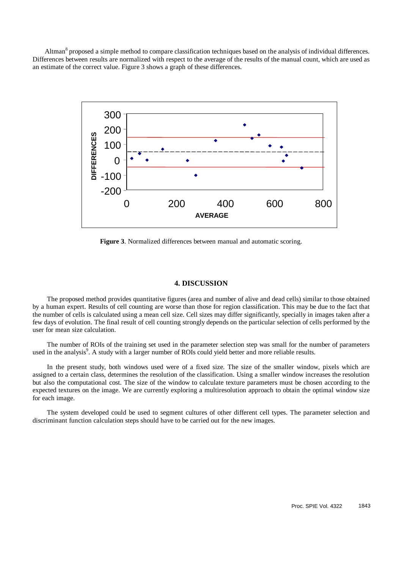Altman<sup>8</sup> proposed a simple method to compare classification techniques based on the analysis of individual differences. Differences between results are normalized with respect to the average of the results of the manual count, which are used as an estimate of the correct value. Figure 3 shows a graph of these differences.



**Figure 3**. Normalized differences between manual and automatic scoring.

### **4. DISCUSSION**

The proposed method provides quantitative figures (area and number of alive and dead cells) similar to those obtained by a human expert. Results of cell counting are worse than those for region classification. This may be due to the fact that the number of cells is calculated using a mean cell size. Cell sizes may differ significantly, specially in images taken after a few days of evolution. The final result of cell counting strongly depends on the particular selection of cells performed by the user for mean size calculation.

The number of ROIs of the training set used in the parameter selection step was small for the number of parameters used in the analysis<sup>9</sup>. A study with a larger number of ROIs could yield better and more reliable results.

In the present study, both windows used were of a fixed size. The size of the smaller window, pixels which are assigned to a certain class, determines the resolution of the classification. Using a smaller window increases the resolution but also the computational cost. The size of the window to calculate texture parameters must be chosen according to the expected textures on the image. We are currently exploring a multiresolution approach to obtain the optimal window size for each image.

The system developed could be used to segment cultures of other different cell types. The parameter selection and discriminant function calculation steps should have to be carried out for the new images.